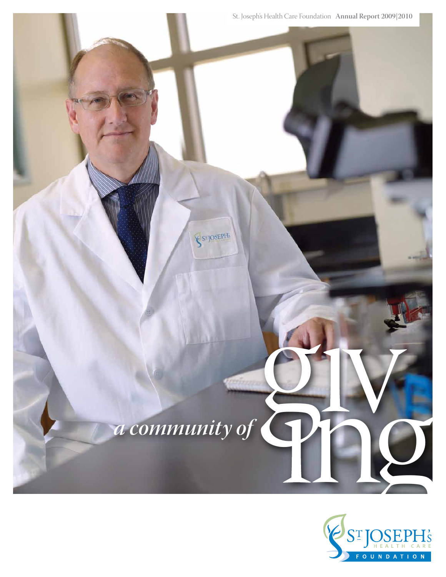

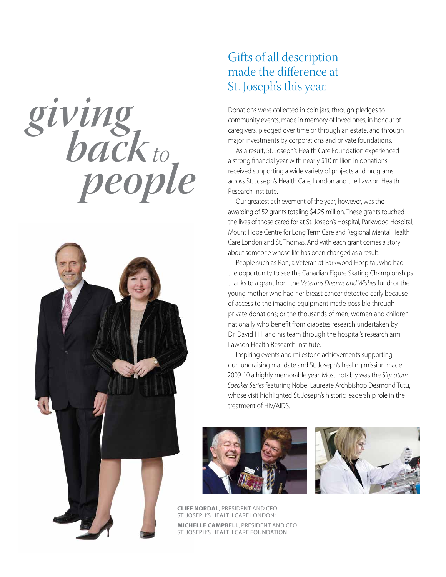## *giving back people to*



### Gifts of all description made the difference at St. Joseph's this year.

Donations were collected in coin jars, through pledges to community events, made in memory of loved ones, in honour of caregivers, pledged over time or through an estate, and through major investments by corporations and private foundations.

As a result, St. Joseph's Health Care Foundation experienced a strong financial year with nearly \$10 million in donations received supporting a wide variety of projects and programs across St. Joseph's Health Care, London and the Lawson Health Research Institute.

Our greatest achievement of the year, however, was the awarding of 52 grants totaling \$4.25 million. These grants touched the lives of those cared for at St. Joseph's Hospital, Parkwood Hospital, Mount Hope Centre for Long Term Care and Regional Mental Health Care London and St. Thomas. And with each grant comes a story about someone whose life has been changed as a result.

People such as Ron, a Veteran at Parkwood Hospital, who had the opportunity to see the Canadian Figure Skating Championships thanks to a grant from the *Veterans Dreams and Wishes* fund; or the young mother who had her breast cancer detected early because of access to the imaging equipment made possible through private donations; or the thousands of men, women and children nationally who benefit from diabetes research undertaken by Dr. David Hill and his team through the hospital's research arm, Lawson Health Research Institute.

Inspiring events and milestone achievements supporting our fundraising mandate and St. Joseph's healing mission made 2009-10 a highly memorable year. Most notably was the *Signature Speaker Series* featuring Nobel Laureate Archbishop Desmond Tutu, whose visit highlighted St. Joseph's historic leadership role in the treatment of HIV/AIDS.





**Cliff Nordal**, President and CEO St. Joseph's Health Care London; **Michelle Campbell**, President and CEO St. Joseph's Health Care Foundation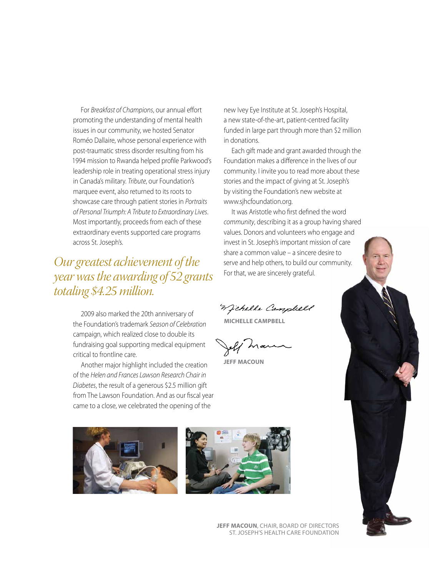For *Breakfast of Champions*, our annual effort promoting the understanding of mental health issues in our community, we hosted Senator Roméo Dallaire, whose personal experience with post-traumatic stress disorder resulting from his 1994 mission to Rwanda helped profile Parkwood's leadership role in treating operational stress injury in Canada's military. *Tribute*, our Foundation's marquee event, also returned to its roots to showcase care through patient stories in *Portraits of Personal Triumph: A Tribute to Extraordinary Lives*. Most importantly, proceeds from each of these extraordinary events supported care programs across St. Joseph's.

*Our greatest achievement of the year was the awarding of 52 grants totaling \$4.25 million.*

> 2009 also marked the 20th anniversary of the Foundation's trademark *Season of Celebration* campaign, which realized close to double its fundraising goal supporting medical equipment critical to frontline care.

Another major highlight included the creation of the *Helen and Frances Lawson Research Chair in Diabetes*, the result of a generous \$2.5 million gift from The Lawson Foundation. And as our fiscal year came to a close, we celebrated the opening of the

new Ivey Eye Institute at St. Joseph's Hospital, a new state-of-the-art, patient-centred facility funded in large part through more than \$2 million in donations.

Each gift made and grant awarded through the Foundation makes a difference in the lives of our community. I invite you to read more about these stories and the impact of giving at St. Joseph's by visiting the Foundation's new website at www.sjhcfoundation.org.

It was Aristotle who first defined the word *community*, describing it as a group having shared values. Donors and volunteers who engage and invest in St. Joseph's important mission of care share a common value – a sincere desire to serve and help others, to build our community. For that, we are sincerely grateful.

Wichelle Campbell

**Michelle Campbell**

**Jeff macoun**





**Jeff Macoun**, Chair, Board of Directors St. Joseph's Health Care Foundation

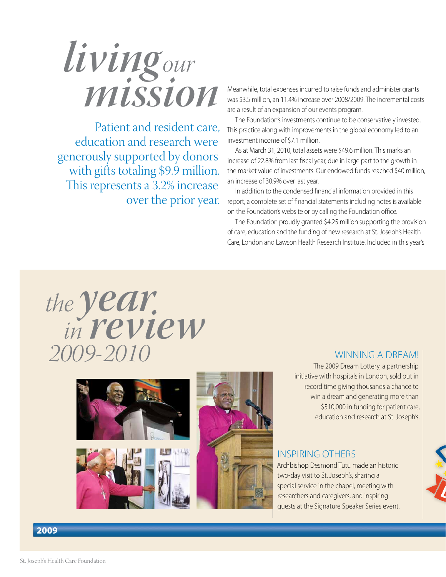### *living mission our*

Patient and resident care, education and research were generously supported by donors with gifts totaling \$9.9 million. This represents a 3.2% increase over the prior year.

Meanwhile, total expenses incurred to raise funds and administer grants was \$3.5 million, an 11.4% increase over 2008/2009. The incremental costs are a result of an expansion of our events program.

The Foundation's investments continue to be conservatively invested. This practice along with improvements in the global economy led to an investment income of \$7.1 million.

As at March 31, 2010, total assets were \$49.6 million. This marks an increase of 22.8% from last fiscal year, due in large part to the growth in the market value of investments. Our endowed funds reached \$40 million, an increase of 30.9% over last year.

In addition to the condensed financial information provided in this report, a complete set of financial statements including notes is available on the Foundation's website or by calling the Foundation office.

The Foundation proudly granted \$4.25 million supporting the provision of care, education and the funding of new research at St. Joseph's Health Care, London and Lawson Health Research Institute. Included in this year's







#### WINNING A DRFAM!

The 2009 Dream Lottery, a partnership initiative with hospitals in London, sold out in record time giving thousands a chance to win a dream and generating more than \$510,000 in funding for patient care, education and research at St. Joseph's.

#### Inspiring others

Archbishop Desmond Tutu made an historic two-day visit to St. Joseph's, sharing a special service in the chapel, meeting with researchers and caregivers, and inspiring guests at the Signature Speaker Series event.



#### **2009**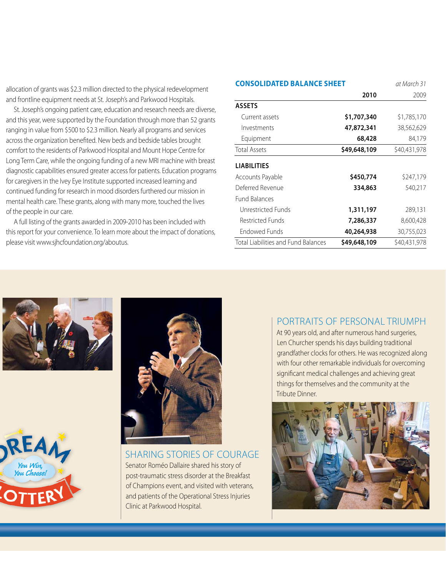allocation of grants was \$2.3 million directed to the physical redevelopment and frontline equipment needs at St. Joseph's and Parkwood Hospitals.

St. Joseph's ongoing patient care, education and research needs are diverse, and this year, were supported by the Foundation through more than 52 grants ranging in value from \$500 to \$2.3 million. Nearly all programs and services across the organization benefited. New beds and bedside tables brought comfort to the residents of Parkwood Hospital and Mount Hope Centre for Long Term Care, while the ongoing funding of a new MRI machine with breast diagnostic capabilities ensured greater access for patients. Education programs for caregivers in the Ivey Eye Institute supported increased learning and continued funding for research in mood disorders furthered our mission in mental health care. These grants, along with many more, touched the lives of the people in our care.

A full listing of the grants awarded in 2009-2010 has been included with this report for your convenience. To learn more about the impact of donations, please visit www.sjhcfoundation.org/aboutus.

| <b>CONSOLIDATED BALANCE SHEET</b>   |              | at March 31  |
|-------------------------------------|--------------|--------------|
|                                     | 2010         | 2009         |
| <b>ASSETS</b>                       |              |              |
| Current assets                      | \$1,707,340  | \$1,785,170  |
| Investments                         | 47,872,341   | 38,562,629   |
| Equipment                           | 68,428       | 84,179       |
| <b>Total Assets</b>                 | \$49,648,109 | \$40,431,978 |
| <b>LIABILITIES</b>                  |              |              |
| Accounts Payable                    | \$450,774    | \$247,179    |
| Deferred Revenue                    | 334,863      | 540,217      |
| <b>Fund Balances</b>                |              |              |
| Unrestricted Funds                  | 1,311,197    | 289,131      |
| Restricted Funds                    | 7,286,337    | 8,600,428    |
| <b>Endowed Funds</b>                | 40,264,938   | 30,755,023   |
| Total Liabilities and Fund Balances | \$49,648,109 | \$40,431,978 |







Sharing stories of courage Senator Roméo Dallaire shared his story of post-traumatic stress disorder at the Breakfast of Champions event, and visited with veterans, and patients of the Operational Stress Injuries Clinic at Parkwood Hospital.

#### Portraits of Personal Triumph

At 90 years old, and after numerous hand surgeries, Len Churcher spends his days building traditional grandfather clocks for others. He was recognized along with four other remarkable individuals for overcoming significant medical challenges and achieving great things for themselves and the community at the Tribute Dinner.

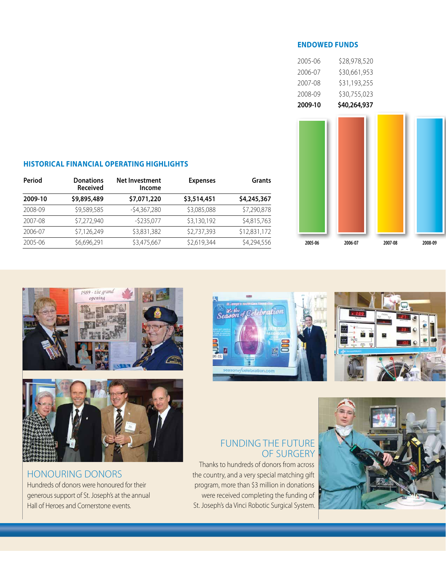#### **Endowed Funds**

| 2009-10 | \$40,264,937 |
|---------|--------------|
| 2008-09 | \$30,755,023 |
| 2007-08 | \$31,193,255 |
| 2006-07 | \$30,661,953 |
| 2005-06 | \$28,978,520 |



#### **Historical Financial Operating Highlights**

| Period  | <b>Donations</b><br>Received | Net Investment<br>Income | <b>Expenses</b> | <b>Grants</b> |
|---------|------------------------------|--------------------------|-----------------|---------------|
| 2009-10 | \$9,895,489                  | \$7,071,220              | \$3,514,451     | \$4,245,367   |
| 2008-09 | \$9,589,585                  | -\$4,367,280             | \$3,085,088     | \$7,290,878   |
| 2007-08 | \$7,272,940                  | $-5235,077$              | \$3,130,192     | \$4,815,763   |
| 2006-07 | \$7,126,249                  | \$3,831,382              | \$2,737,393     | \$12,831,172  |
| 2005-06 | \$6,696,291                  | \$3,475,667              | \$2,619,344     | \$4,294,556   |



#### Honouring donors

Hundreds of donors were honoured for their generous support of St. Joseph's at the annual Hall of Heroes and Cornerstone events.



#### Funding the future of surgery

Thanks to hundreds of donors from across the country, and a very special matching gift program, more than \$3 million in donations were received completing the funding of St. Joseph's da Vinci Robotic Surgical System.

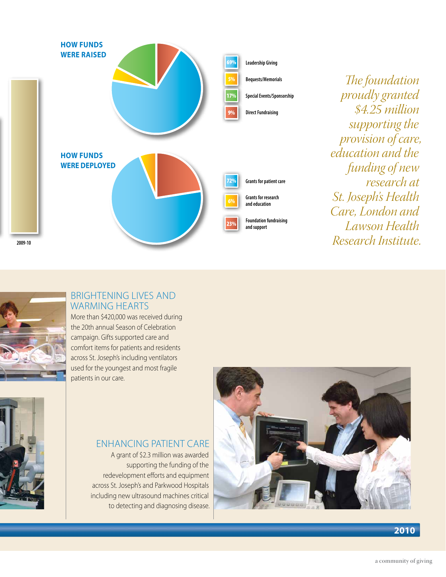

*The foundation proudly granted \$4.25 million supporting the provision of care, education and the funding of new research at St. Joseph's Health Care, London and Lawson Health Research Institute.*



#### Brightening lives and WARMING HEARTS

More than \$420,000 was received during the 20th annual Season of Celebration campaign. Gifts supported care and comfort items for patients and residents across St. Joseph's including ventilators used for the youngest and most fragile patients in our care.



#### Enhancing patient care

A grant of \$2.3 million was awarded supporting the funding of the redevelopment efforts and equipment across St. Joseph's and Parkwood Hospitals including new ultrasound machines critical to detecting and diagnosing disease.